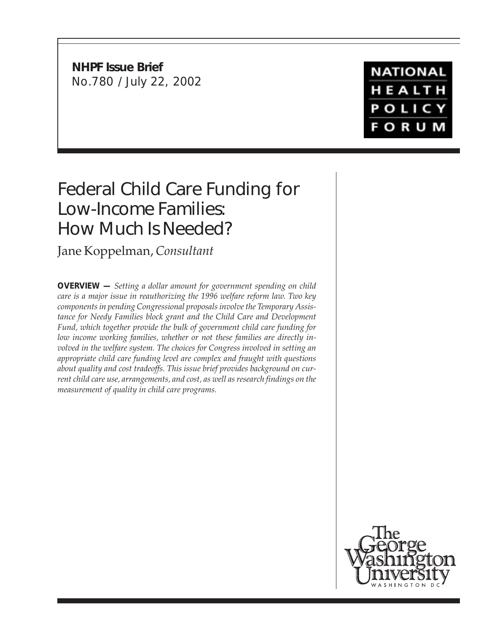**NHPF Issue Brief** No.780 / July 22, 2002

# **NATIONAL** HEALTH **POLICY FORUM**

# Federal Child Care Funding for Low-Income Families: How Much Is Needed?

Jane Koppelman, *Consultant*

**OVERVIEW —** *Setting a dollar amount for government spending on child care is a major issue in reauthorizing the 1996 welfare reform law. Two key components in pending Congressional proposals involve the Temporary Assistance for Needy Families block grant and the Child Care and Development Fund, which together provide the bulk of government child care funding for low income working families, whether or not these families are directly involved in the welfare system. The choices for Congress involved in setting an appropriate child care funding level are complex and fraught with questions about quality and cost tradeoffs. This issue brief provides background on current child care use, arrangements, and cost, as well as research findings on the measurement of quality in child care programs.*

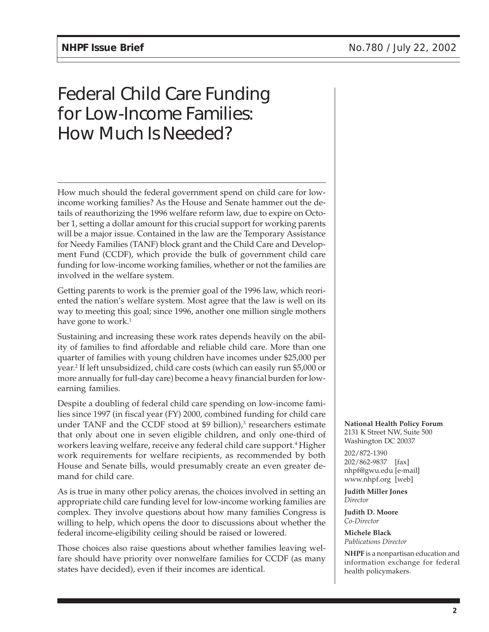# Federal Child Care Funding for Low-Income Families: How Much Is Needed?

How much should the federal government spend on child care for lowincome working families? As the House and Senate hammer out the details of reauthorizing the 1996 welfare reform law, due to expire on October 1, setting a dollar amount for this crucial support for working parents will be a major issue. Contained in the law are the Temporary Assistance for Needy Families (TANF) block grant and the Child Care and Development Fund (CCDF), which provide the bulk of government child care funding for low-income working families, whether or not the families are involved in the welfare system.

Getting parents to work is the premier goal of the 1996 law, which reoriented the nation's welfare system. Most agree that the law is well on its way to meeting this goal; since 1996, another one million single mothers have gone to work.<sup>1</sup>

Sustaining and increasing these work rates depends heavily on the ability of families to find affordable and reliable child care. More than one quarter of families with young children have incomes under \$25,000 per year.2 If left unsubsidized, child care costs (which can easily run \$5,000 or more annually for full-day care) become a heavy financial burden for lowearning families.

Despite a doubling of federal child care spending on low-income families since 1997 (in fiscal year (FY) 2000, combined funding for child care under TANF and the CCDF stood at \$9 billion),<sup>3</sup> researchers estimate that only about one in seven eligible children, and only one-third of workers leaving welfare, receive any federal child care support.<sup>4</sup> Higher work requirements for welfare recipients, as recommended by both House and Senate bills, would presumably create an even greater demand for child care.

As is true in many other policy arenas, the choices involved in setting an appropriate child care funding level for low-income working families are complex. They involve questions about how many families Congress is willing to help, which opens the door to discussions about whether the federal income-eligibility ceiling should be raised or lowered.

Those choices also raise questions about whether families leaving welfare should have priority over nonwelfare families for CCDF (as many states have decided), even if their incomes are identical.

**National Health Policy Forum** 2131 K Street NW, Suite 500 Washington DC 20037

202/872-1390 202/862-9837 [fax] nhpf@gwu.edu [e-mail] www.nhpf.org [web]

**Judith Miller Jones** *Director*

**Judith D. Moore** *Co-Director*

**Michele Black** *Publications Director*

**NHPF** is a nonpartisan education and information exchange for federal health policymakers.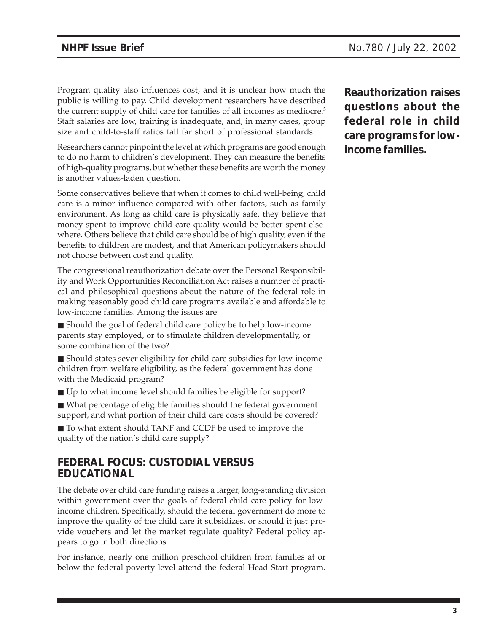Program quality also influences cost, and it is unclear how much the public is willing to pay. Child development researchers have described the current supply of child care for families of all incomes as mediocre.<sup>5</sup> Staff salaries are low, training is inadequate, and, in many cases, group size and child-to-staff ratios fall far short of professional standards.

Researchers cannot pinpoint the level at which programs are good enough to do no harm to children's development. They can measure the benefits of high-quality programs, but whether these benefits are worth the money is another values-laden question.

Some conservatives believe that when it comes to child well-being, child care is a minor influence compared with other factors, such as family environment. As long as child care is physically safe, they believe that money spent to improve child care quality would be better spent elsewhere. Others believe that child care should be of high quality, even if the benefits to children are modest, and that American policymakers should not choose between cost and quality.

The congressional reauthorization debate over the Personal Responsibility and Work Opportunities Reconciliation Act raises a number of practical and philosophical questions about the nature of the federal role in making reasonably good child care programs available and affordable to low-income families. Among the issues are:

■ Should the goal of federal child care policy be to help low-income parents stay employed, or to stimulate children developmentally, or some combination of the two?

■ Should states sever eligibility for child care subsidies for low-income children from welfare eligibility, as the federal government has done with the Medicaid program?

■ Up to what income level should families be eligible for support?

■ What percentage of eligible families should the federal government support, and what portion of their child care costs should be covered?

■ To what extent should TANF and CCDF be used to improve the quality of the nation's child care supply?

## **FEDERAL FOCUS: CUSTODIAL VERSUS EDUCATIONAL**

The debate over child care funding raises a larger, long-standing division within government over the goals of federal child care policy for lowincome children. Specifically, should the federal government do more to improve the quality of the child care it subsidizes, or should it just provide vouchers and let the market regulate quality? Federal policy appears to go in both directions.

For instance, nearly one million preschool children from families at or below the federal poverty level attend the federal Head Start program.

**Reauthorization raises questions about the federal role in child care programs for lowincome families.**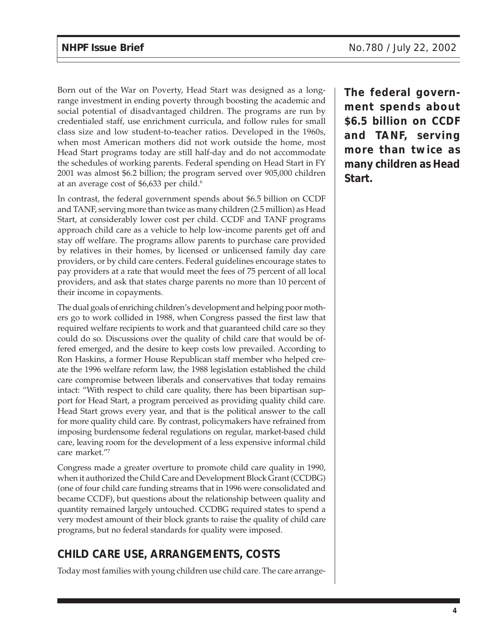Born out of the War on Poverty, Head Start was designed as a longrange investment in ending poverty through boosting the academic and social potential of disadvantaged children. The programs are run by credentialed staff, use enrichment curricula, and follow rules for small class size and low student-to-teacher ratios. Developed in the 1960s, when most American mothers did not work outside the home, most Head Start programs today are still half-day and do not accommodate the schedules of working parents. Federal spending on Head Start in FY 2001 was almost \$6.2 billion; the program served over 905,000 children at an average cost of \$6,633 per child.<sup>6</sup>

In contrast, the federal government spends about \$6.5 billion on CCDF and TANF, serving more than twice as many children (2.5 million) as Head Start, at considerably lower cost per child. CCDF and TANF programs approach child care as a vehicle to help low-income parents get off and stay off welfare. The programs allow parents to purchase care provided by relatives in their homes, by licensed or unlicensed family day care providers, or by child care centers. Federal guidelines encourage states to pay providers at a rate that would meet the fees of 75 percent of all local providers, and ask that states charge parents no more than 10 percent of their income in copayments.

The dual goals of enriching children's development and helping poor mothers go to work collided in 1988, when Congress passed the first law that required welfare recipients to work and that guaranteed child care so they could do so. Discussions over the quality of child care that would be offered emerged, and the desire to keep costs low prevailed. According to Ron Haskins, a former House Republican staff member who helped create the 1996 welfare reform law, the 1988 legislation established the child care compromise between liberals and conservatives that today remains intact: "With respect to child care quality, there has been bipartisan support for Head Start, a program perceived as providing quality child care. Head Start grows every year, and that is the political answer to the call for more quality child care. By contrast, policymakers have refrained from imposing burdensome federal regulations on regular, market-based child care, leaving room for the development of a less expensive informal child care market."7

Congress made a greater overture to promote child care quality in 1990, when it authorized the Child Care and Development Block Grant (CCDBG) (one of four child care funding streams that in 1996 were consolidated and became CCDF), but questions about the relationship between quality and quantity remained largely untouched. CCDBG required states to spend a very modest amount of their block grants to raise the quality of child care programs, but no federal standards for quality were imposed.

# **CHILD CARE USE, ARRANGEMENTS, COSTS**

Today most families with young children use child care. The care arrange-

**The federal government spends about \$6.5 billion on CCDF and TANF, serving more than twice as many children as Head Start.**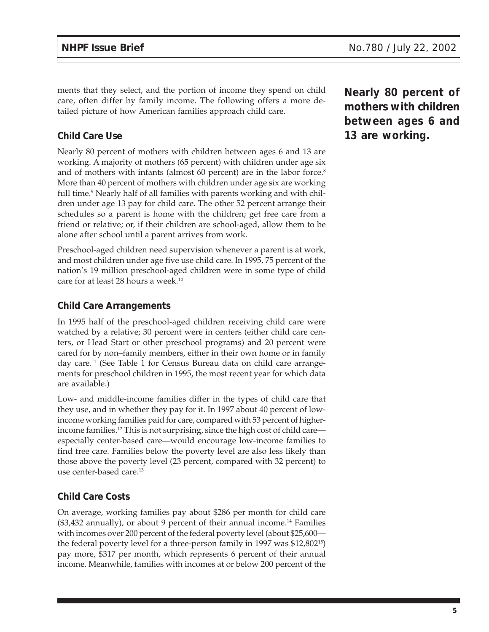ments that they select, and the portion of income they spend on child care, often differ by family income. The following offers a more detailed picture of how American families approach child care.

## **Child Care Use**

Nearly 80 percent of mothers with children between ages 6 and 13 are working. A majority of mothers (65 percent) with children under age six and of mothers with infants (almost 60 percent) are in the labor force.<sup>8</sup> More than 40 percent of mothers with children under age six are working full time.9 Nearly half of all families with parents working and with children under age 13 pay for child care. The other 52 percent arrange their schedules so a parent is home with the children; get free care from a friend or relative; or, if their children are school-aged, allow them to be alone after school until a parent arrives from work.

Preschool-aged children need supervision whenever a parent is at work, and most children under age five use child care. In 1995, 75 percent of the nation's 19 million preschool-aged children were in some type of child care for at least 28 hours a week.<sup>10</sup>

#### **Child Care Arrangements**

In 1995 half of the preschool-aged children receiving child care were watched by a relative; 30 percent were in centers (either child care centers, or Head Start or other preschool programs) and 20 percent were cared for by non–family members, either in their own home or in family day care.11 (See Table 1 for Census Bureau data on child care arrangements for preschool children in 1995, the most recent year for which data are available.)

Low- and middle-income families differ in the types of child care that they use, and in whether they pay for it. In 1997 about 40 percent of lowincome working families paid for care, compared with 53 percent of higherincome families.12 This is not surprising, since the high cost of child care especially center-based care—would encourage low-income families to find free care. Families below the poverty level are also less likely than those above the poverty level (23 percent, compared with 32 percent) to use center-based care.<sup>13</sup>

## **Child Care Costs**

On average, working families pay about \$286 per month for child care  $($3,432$$  annually), or about 9 percent of their annual income.<sup>14</sup> Families with incomes over 200 percent of the federal poverty level (about \$25,600 the federal poverty level for a three-person family in 1997 was \$12,80215) pay more, \$317 per month, which represents 6 percent of their annual income. Meanwhile, families with incomes at or below 200 percent of the

**Nearly 80 percent of mothers with children between ages 6 and 13 are working.**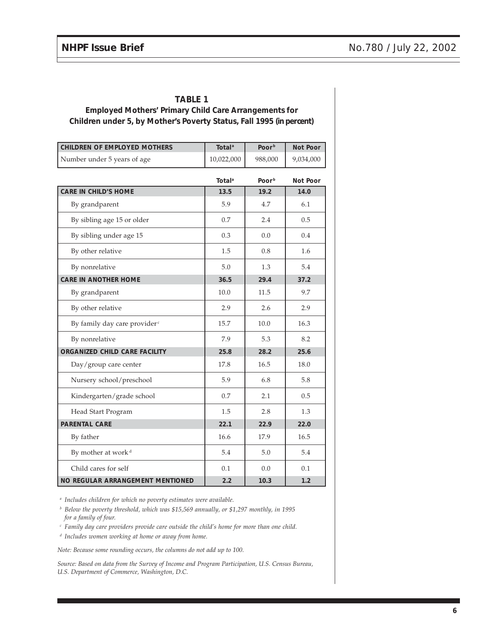#### **TABLE 1**

#### **Employed Mothers' Primary Child Care Arrangements for Children under 5, by Mother's Poverty Status, Fall 1995 (in percent)**

| <b>CHILDREN OF EMPLOYED MOTHERS</b>      | <b>Total</b> <sup>a</sup> | Poor <sup>b</sup> | Not Poor        |
|------------------------------------------|---------------------------|-------------------|-----------------|
| Number under 5 years of age              | 10,022,000                | 988,000           | 9,034,000       |
|                                          | <b>Total</b> <sup>a</sup> | Poor <sup>b</sup> | <b>Not Poor</b> |
| <b>CARE IN CHILD'S HOME</b>              | 13.5                      | 19.2              | 14.0            |
| By grandparent                           | 5.9                       | 4.7               | 6.1             |
| By sibling age 15 or older               | 0.7                       | 2.4               | 0.5             |
| By sibling under age 15                  | 0.3                       | 0.0               | 0.4             |
| By other relative                        | 1.5                       | 0.8               | 1.6             |
| By nonrelative                           | 5.0                       | 1.3               | 5.4             |
| <b>CARE IN ANOTHER HOME</b>              | 36.5                      | 29.4              | 37.2            |
| By grandparent                           | 10.0                      | 11.5              | 9.7             |
| By other relative                        | 2.9                       | 2.6               | 2.9             |
| By family day care provider <sup>c</sup> | 15.7                      | 10.0              | 16.3            |
| By nonrelative                           | 7.9                       | 5.3               | 8.2             |
| ORGANIZED CHILD CARE FACILITY            | 25.8                      | 28.2              | 25.6            |
| Day/group care center                    | 17.8                      | 16.5              | 18.0            |
| Nursery school/preschool                 | 5.9                       | 6.8               | 5.8             |
| Kindergarten/grade school                | 0.7                       | 2.1               | 0.5             |
| Head Start Program                       | 1.5                       | 2.8               | 1.3             |
| <b>PARENTAL CARE</b>                     | 22.1                      | 22.9              | 22.0            |
| By father                                | 16.6                      | 17.9              | 16.5            |
| By mother at work <sup>d</sup>           | 5.4                       | 5.0               | 5.4             |
| Child cares for self                     | 0.1                       | 0.0               | 0.1             |
| NO REGULAR ARRANGEMENT MENTIONED         | 2.2                       | 10.3              | 1.2             |

*<sup>a</sup> Includes children for which no poverty estimates were available.*

*<sup>b</sup> Below the poverty threshold, which was \$15,569 annually, or \$1,297 monthly, in 1995 for a family of four.*

*<sup>c</sup> Family day care providers provide care outside the child's home for more than one child.*

*<sup>d</sup> Includes women working at home or away from home.*

*Note: Because some rounding occurs, the columns do not add up to 100.*

*Source: Based on data from the Survey of Income and Program Participation, U.S. Census Bureau, U.S. Department of Commerce, Washington, D.C.*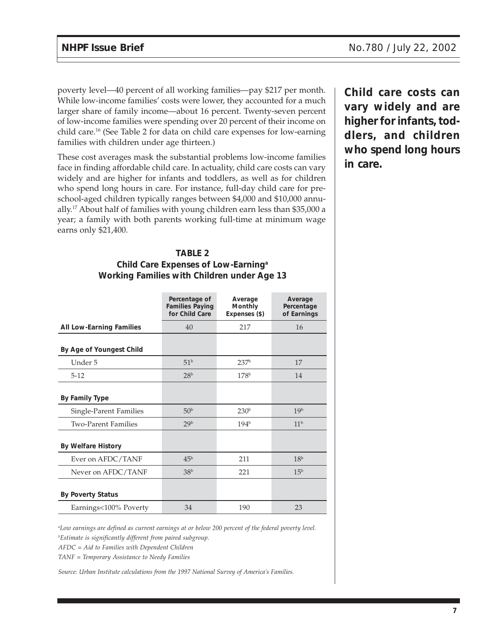poverty level—40 percent of all working families—pay \$217 per month. While low-income families' costs were lower, they accounted for a much larger share of family income—about 16 percent. Twenty-seven percent of low-income families were spending over 20 percent of their income on child care.16 (See Table 2 for data on child care expenses for low-earning families with children under age thirteen.)

These cost averages mask the substantial problems low-income families face in finding affordable child care. In actuality, child care costs can vary widely and are higher for infants and toddlers, as well as for children who spend long hours in care. For instance, full-day child care for preschool-aged children typically ranges between \$4,000 and \$10,000 annually.17 About half of families with young children earn less than \$35,000 a year; a family with both parents working full-time at minimum wage earns only \$21,400.

#### **TABLE 2 Child Care Expenses of Low-Earninga Working Families with Children under Age 13**

|                                 | Percentage of<br><b>Families Paying</b><br>for Child Care | Average<br>Monthly<br>Expenses (\$) | Average<br>Percentage<br>of Earnings |
|---------------------------------|-----------------------------------------------------------|-------------------------------------|--------------------------------------|
| <b>All Low-Earning Families</b> | 40                                                        | 217                                 | 16                                   |
| By Age of Youngest Child        |                                                           |                                     |                                      |
| Under 5                         | 51 <sup>b</sup>                                           | 237 <sup>b</sup>                    | 17                                   |
| $5 - 12$                        | 28 <sup>b</sup>                                           | 178 <sup>b</sup>                    | 14                                   |
| By Family Type                  |                                                           |                                     |                                      |
| Single-Parent Families          | 50 <sup>b</sup>                                           | 230 <sup>b</sup>                    | 19 <sup>b</sup>                      |
| <b>Two-Parent Families</b>      | 29 <sup>b</sup>                                           | 194 <sup>b</sup>                    | 11 <sup>b</sup>                      |
| <b>By Welfare History</b>       |                                                           |                                     |                                      |
| Ever on AFDC/TANF               | 45 <sup>b</sup>                                           | 211                                 | 18 <sup>b</sup>                      |
| Never on AFDC/TANF              | 38 <sup>b</sup>                                           | 221                                 | 15 <sup>b</sup>                      |
| <b>By Poverty Status</b>        |                                                           |                                     |                                      |
| Earnings<100% Poverty           | 34                                                        | 190                                 | 23                                   |

**Child care costs can vary widely and are higher for infants, toddlers, and children who spend long hours in care.**

*a Low earnings are defined as current earnings at or below 200 percent of the federal poverty level. b Estimate is significantly different from paired subgroup.*

*AFDC = Aid to Families with Dependent Children*

*TANF = Temporary Assistance to Needy Families*

*Source: Urban Institute calculations from the 1997 National Survey of America's Families.*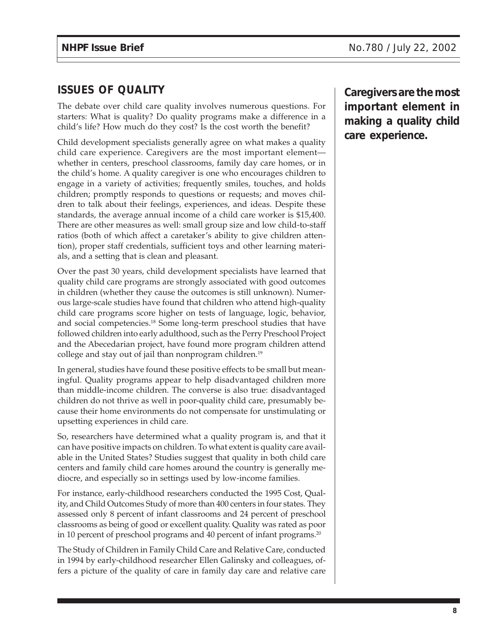# **ISSUES OF QUALITY**

The debate over child care quality involves numerous questions. For starters: What is quality? Do quality programs make a difference in a child's life? How much do they cost? Is the cost worth the benefit?

Child development specialists generally agree on what makes a quality child care experience. Caregivers are the most important element whether in centers, preschool classrooms, family day care homes, or in the child's home. A quality caregiver is one who encourages children to engage in a variety of activities; frequently smiles, touches, and holds children; promptly responds to questions or requests; and moves children to talk about their feelings, experiences, and ideas. Despite these standards, the average annual income of a child care worker is \$15,400. There are other measures as well: small group size and low child-to-staff ratios (both of which affect a caretaker's ability to give children attention), proper staff credentials, sufficient toys and other learning materials, and a setting that is clean and pleasant.

Over the past 30 years, child development specialists have learned that quality child care programs are strongly associated with good outcomes in children (whether they cause the outcomes is still unknown). Numerous large-scale studies have found that children who attend high-quality child care programs score higher on tests of language, logic, behavior, and social competencies.18 Some long-term preschool studies that have followed children into early adulthood, such as the Perry Preschool Project and the Abecedarian project, have found more program children attend college and stay out of jail than nonprogram children.<sup>19</sup>

In general, studies have found these positive effects to be small but meaningful. Quality programs appear to help disadvantaged children more than middle-income children. The converse is also true: disadvantaged children do not thrive as well in poor-quality child care, presumably because their home environments do not compensate for unstimulating or upsetting experiences in child care.

So, researchers have determined what a quality program is, and that it can have positive impacts on children. To what extent is quality care available in the United States? Studies suggest that quality in both child care centers and family child care homes around the country is generally mediocre, and especially so in settings used by low-income families.

For instance, early-childhood researchers conducted the 1995 Cost, Quality, and Child Outcomes Study of more than 400 centers in four states. They assessed only 8 percent of infant classrooms and 24 percent of preschool classrooms as being of good or excellent quality. Quality was rated as poor in 10 percent of preschool programs and 40 percent of infant programs.<sup>20</sup>

The Study of Children in Family Child Care and Relative Care, conducted in 1994 by early-childhood researcher Ellen Galinsky and colleagues, offers a picture of the quality of care in family day care and relative care **Caregivers are the most important element in making a quality child care experience.**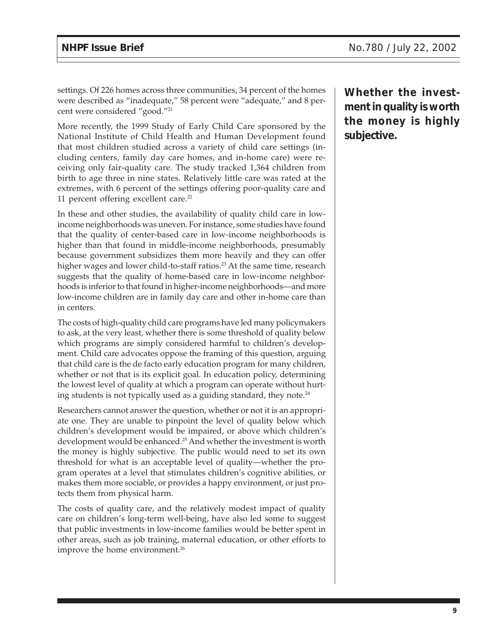settings. Of 226 homes across three communities, 34 percent of the homes were described as "inadequate," 58 percent were "adequate," and 8 percent were considered "good."21

More recently, the 1999 Study of Early Child Care sponsored by the National Institute of Child Health and Human Development found that most children studied across a variety of child care settings (including centers, family day care homes, and in-home care) were receiving only fair-quality care. The study tracked 1,364 children from birth to age three in nine states. Relatively little care was rated at the extremes, with 6 percent of the settings offering poor-quality care and 11 percent offering excellent care. $22$ 

In these and other studies, the availability of quality child care in lowincome neighborhoods was uneven. For instance, some studies have found that the quality of center-based care in low-income neighborhoods is higher than that found in middle-income neighborhoods, presumably because government subsidizes them more heavily and they can offer higher wages and lower child-to-staff ratios.<sup>23</sup> At the same time, research suggests that the quality of home-based care in low-income neighborhoods is inferior to that found in higher-income neighborhoods—and more low-income children are in family day care and other in-home care than in centers.

The costs of high-quality child care programs have led many policymakers to ask, at the very least, whether there is some threshold of quality below which programs are simply considered harmful to children's development. Child care advocates oppose the framing of this question, arguing that child care is the de facto early education program for many children, whether or not that is its explicit goal. In education policy, determining the lowest level of quality at which a program can operate without hurting students is not typically used as a guiding standard, they note. $24$ 

Researchers cannot answer the question, whether or not it is an appropriate one. They are unable to pinpoint the level of quality below which children's development would be impaired, or above which children's development would be enhanced.<sup>25</sup> And whether the investment is worth the money is highly subjective. The public would need to set its own threshold for what is an acceptable level of quality—whether the program operates at a level that stimulates children's cognitive abilities, or makes them more sociable, or provides a happy environment, or just protects them from physical harm.

The costs of quality care, and the relatively modest impact of quality care on children's long-term well-being, have also led some to suggest that public investments in low-income families would be better spent in other areas, such as job training, maternal education, or other efforts to improve the home environment.<sup>26</sup>

**Whether the investment in quality is worth the money is highly subjective.**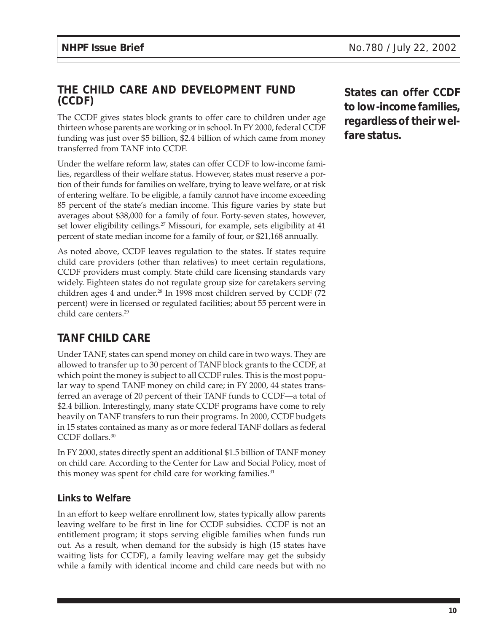## **THE CHILD CARE AND DEVELOPMENT FUND (CCDF)**

The CCDF gives states block grants to offer care to children under age thirteen whose parents are working or in school. In FY 2000, federal CCDF funding was just over \$5 billion, \$2.4 billion of which came from money transferred from TANF into CCDF.

Under the welfare reform law, states can offer CCDF to low-income families, regardless of their welfare status. However, states must reserve a portion of their funds for families on welfare, trying to leave welfare, or at risk of entering welfare. To be eligible, a family cannot have income exceeding 85 percent of the state's median income. This figure varies by state but averages about \$38,000 for a family of four. Forty-seven states, however, set lower eligibility ceilings.<sup>27</sup> Missouri, for example, sets eligibility at 41 percent of state median income for a family of four, or \$21,168 annually.

As noted above, CCDF leaves regulation to the states. If states require child care providers (other than relatives) to meet certain regulations, CCDF providers must comply. State child care licensing standards vary widely. Eighteen states do not regulate group size for caretakers serving children ages 4 and under.<sup>28</sup> In 1998 most children served by CCDF (72 percent) were in licensed or regulated facilities; about 55 percent were in child care centers.29

# **TANF CHILD CARE**

Under TANF, states can spend money on child care in two ways. They are allowed to transfer up to 30 percent of TANF block grants to the CCDF, at which point the money is subject to all CCDF rules. This is the most popular way to spend TANF money on child care; in FY 2000, 44 states transferred an average of 20 percent of their TANF funds to CCDF—a total of \$2.4 billion. Interestingly, many state CCDF programs have come to rely heavily on TANF transfers to run their programs. In 2000, CCDF budgets in 15 states contained as many as or more federal TANF dollars as federal CCDF dollars.30

In FY 2000, states directly spent an additional \$1.5 billion of TANF money on child care. According to the Center for Law and Social Policy, most of this money was spent for child care for working families.<sup>31</sup>

## **Links to Welfare**

In an effort to keep welfare enrollment low, states typically allow parents leaving welfare to be first in line for CCDF subsidies. CCDF is not an entitlement program; it stops serving eligible families when funds run out. As a result, when demand for the subsidy is high (15 states have waiting lists for CCDF), a family leaving welfare may get the subsidy while a family with identical income and child care needs but with no **States can offer CCDF to low-income families, regardless of their welfare status.**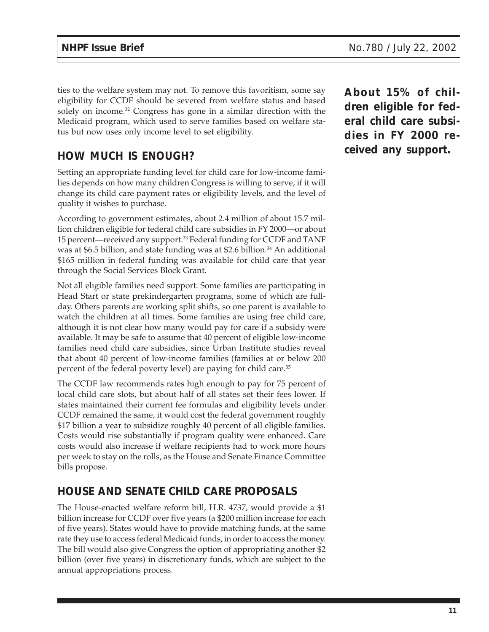ties to the welfare system may not. To remove this favoritism, some say eligibility for CCDF should be severed from welfare status and based solely on income.<sup>32</sup> Congress has gone in a similar direction with the Medicaid program, which used to serve families based on welfare status but now uses only income level to set eligibility.

# **HOW MUCH IS ENOUGH?**

Setting an appropriate funding level for child care for low-income families depends on how many children Congress is willing to serve, if it will change its child care payment rates or eligibility levels, and the level of quality it wishes to purchase.

According to government estimates, about 2.4 million of about 15.7 million children eligible for federal child care subsidies in FY 2000—or about 15 percent—received any support.33 Federal funding for CCDF and TANF was at \$6.5 billion, and state funding was at \$2.6 billion.<sup>34</sup> An additional \$165 million in federal funding was available for child care that year through the Social Services Block Grant.

Not all eligible families need support. Some families are participating in Head Start or state prekindergarten programs, some of which are fullday. Others parents are working split shifts, so one parent is available to watch the children at all times. Some families are using free child care, although it is not clear how many would pay for care if a subsidy were available. It may be safe to assume that 40 percent of eligible low-income families need child care subsidies, since Urban Institute studies reveal that about 40 percent of low-income families (families at or below 200 percent of the federal poverty level) are paying for child care.<sup>35</sup>

The CCDF law recommends rates high enough to pay for 75 percent of local child care slots, but about half of all states set their fees lower. If states maintained their current fee formulas and eligibility levels under CCDF remained the same, it would cost the federal government roughly \$17 billion a year to subsidize roughly 40 percent of all eligible families. Costs would rise substantially if program quality were enhanced. Care costs would also increase if welfare recipients had to work more hours per week to stay on the rolls, as the House and Senate Finance Committee bills propose.

# **HOUSE AND SENATE CHILD CARE PROPOSALS**

The House-enacted welfare reform bill, H.R. 4737, would provide a \$1 billion increase for CCDF over five years (a \$200 million increase for each of five years). States would have to provide matching funds, at the same rate they use to access federal Medicaid funds, in order to access the money. The bill would also give Congress the option of appropriating another \$2 billion (over five years) in discretionary funds, which are subject to the annual appropriations process.

**About 15% of children eligible for federal child care subsidies in FY 2000 received any support.**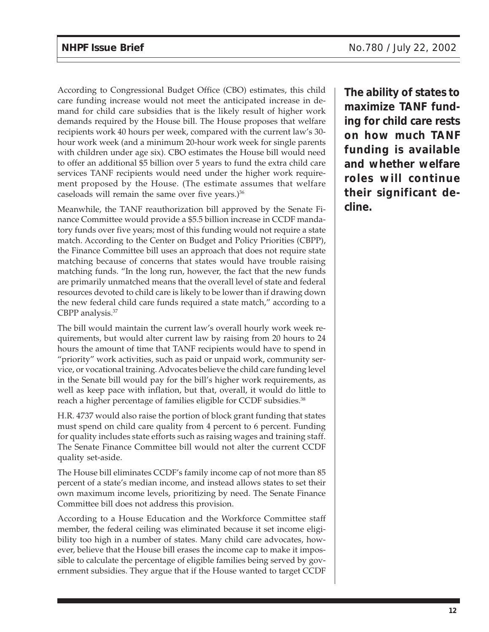According to Congressional Budget Office (CBO) estimates, this child care funding increase would not meet the anticipated increase in demand for child care subsidies that is the likely result of higher work demands required by the House bill. The House proposes that welfare recipients work 40 hours per week, compared with the current law's 30 hour work week (and a minimum 20-hour work week for single parents with children under age six). CBO estimates the House bill would need to offer an additional \$5 billion over 5 years to fund the extra child care services TANF recipients would need under the higher work requirement proposed by the House. (The estimate assumes that welfare caseloads will remain the same over five years.) $36$ 

Meanwhile, the TANF reauthorization bill approved by the Senate Finance Committee would provide a \$5.5 billion increase in CCDF mandatory funds over five years; most of this funding would not require a state match. According to the Center on Budget and Policy Priorities (CBPP), the Finance Committee bill uses an approach that does not require state matching because of concerns that states would have trouble raising matching funds. "In the long run, however, the fact that the new funds are primarily unmatched means that the overall level of state and federal resources devoted to child care is likely to be lower than if drawing down the new federal child care funds required a state match," according to a CBPP analysis.37

The bill would maintain the current law's overall hourly work week requirements, but would alter current law by raising from 20 hours to 24 hours the amount of time that TANF recipients would have to spend in "priority" work activities, such as paid or unpaid work, community service, or vocational training. Advocates believe the child care funding level in the Senate bill would pay for the bill's higher work requirements, as well as keep pace with inflation, but that, overall, it would do little to reach a higher percentage of families eligible for CCDF subsidies.<sup>38</sup>

H.R. 4737 would also raise the portion of block grant funding that states must spend on child care quality from 4 percent to 6 percent. Funding for quality includes state efforts such as raising wages and training staff. The Senate Finance Committee bill would not alter the current CCDF quality set-aside.

The House bill eliminates CCDF's family income cap of not more than 85 percent of a state's median income, and instead allows states to set their own maximum income levels, prioritizing by need. The Senate Finance Committee bill does not address this provision.

According to a House Education and the Workforce Committee staff member, the federal ceiling was eliminated because it set income eligibility too high in a number of states. Many child care advocates, however, believe that the House bill erases the income cap to make it impossible to calculate the percentage of eligible families being served by government subsidies. They argue that if the House wanted to target CCDF

**The ability of states to maximize TANF funding for child care rests on how much TANF funding is available and whether welfare roles will continue their significant decline.**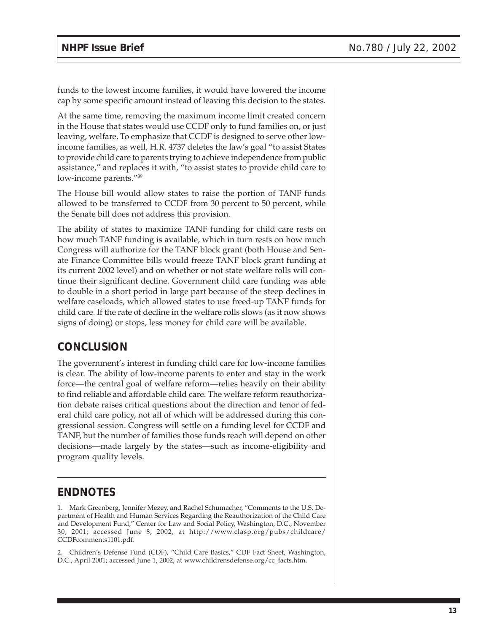funds to the lowest income families, it would have lowered the income cap by some specific amount instead of leaving this decision to the states.

At the same time, removing the maximum income limit created concern in the House that states would use CCDF only to fund families on, or just leaving, welfare. To emphasize that CCDF is designed to serve other lowincome families, as well, H.R. 4737 deletes the law's goal "to assist States to provide child care to parents trying to achieve independence from public assistance," and replaces it with, "to assist states to provide child care to low-income parents."39

The House bill would allow states to raise the portion of TANF funds allowed to be transferred to CCDF from 30 percent to 50 percent, while the Senate bill does not address this provision.

The ability of states to maximize TANF funding for child care rests on how much TANF funding is available, which in turn rests on how much Congress will authorize for the TANF block grant (both House and Senate Finance Committee bills would freeze TANF block grant funding at its current 2002 level) and on whether or not state welfare rolls will continue their significant decline. Government child care funding was able to double in a short period in large part because of the steep declines in welfare caseloads, which allowed states to use freed-up TANF funds for child care. If the rate of decline in the welfare rolls slows (as it now shows signs of doing) or stops, less money for child care will be available.

## **CONCLUSION**

The government's interest in funding child care for low-income families is clear. The ability of low-income parents to enter and stay in the work force—the central goal of welfare reform—relies heavily on their ability to find reliable and affordable child care. The welfare reform reauthorization debate raises critical questions about the direction and tenor of federal child care policy, not all of which will be addressed during this congressional session. Congress will settle on a funding level for CCDF and TANF, but the number of families those funds reach will depend on other decisions—made largely by the states—such as income-eligibility and program quality levels.

## **ENDNOTES**

1. Mark Greenberg, Jennifer Mezey, and Rachel Schumacher, "Comments to the U.S. Department of Health and Human Services Regarding the Reauthorization of the Child Care and Development Fund," Center for Law and Social Policy, Washington, D.C., November 30, 2001; accessed June 8, 2002, at http://www.clasp.org/pubs/childcare/ CCDFcomments1101.pdf.

2. Children's Defense Fund (CDF), "Child Care Basics," CDF Fact Sheet, Washington, D.C., April 2001; accessed June 1, 2002, at www.childrensdefense.org/cc\_facts.htm.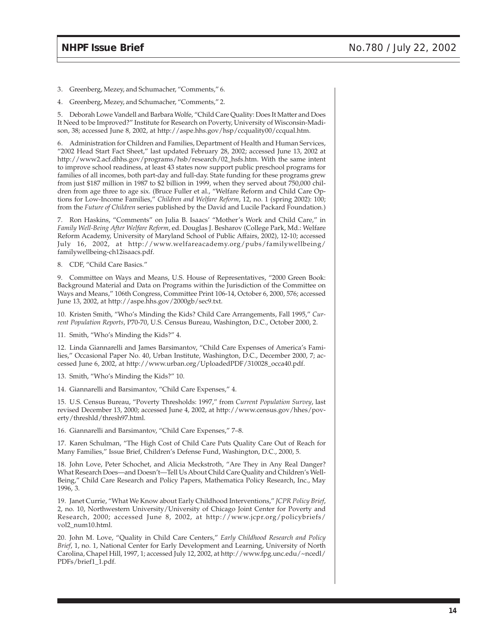3. Greenberg, Mezey, and Schumacher, "Comments," 6.

4. Greenberg, Mezey, and Schumacher, "Comments," 2.

5. Deborah Lowe Vandell and Barbara Wolfe, "Child Care Quality: Does It Matter and Does It Need to be Improved?" Institute for Research on Poverty, University of Wisconsin-Madison, 38; accessed June 8, 2002, at http://aspe.hhs.gov/hsp/ccquality00/ccqual.htm.

6. Administration for Children and Families, Department of Health and Human Services, "2002 Head Start Fact Sheet," last updated February 28, 2002; accessed June 13, 2002 at http://www2.acf.dhhs.gov/programs/hsb/research/02\_hsfs.htm. With the same intent to improve school readiness, at least 43 states now support public preschool programs for families of all incomes, both part-day and full-day. State funding for these programs grew from just \$187 million in 1987 to \$2 billion in 1999, when they served about 750,000 children from age three to age six. (Bruce Fuller et al., "Welfare Reform and Child Care Options for Low-Income Families," *Children and Welfare Reform*, 12, no. 1 (spring 2002): 100; from the *Future of Children* series published by the David and Lucile Packard Foundation.)

7. Ron Haskins, "Comments" on Julia B. Isaacs' "Mother's Work and Child Care," in *Family Well-Being After Welfare Reform*, ed. Douglas J. Besharov (College Park, Md.: Welfare Reform Academy, University of Maryland School of Public Affairs, 2002), 12-10; accessed July 16, 2002, at http://www.welfareacademy.org/pubs/familywellbeing/ familywellbeing-ch12isaacs.pdf.

8. CDF, "Child Care Basics."

9. Committee on Ways and Means, U.S. House of Representatives, "2000 Green Book: Background Material and Data on Programs within the Jurisdiction of the Committee on Ways and Means," 106th Congress, Committee Print 106-14, October 6, 2000, 576; accessed June 13, 2002, at http://aspe.hhs.gov/2000gb/sec9.txt.

10. Kristen Smith, "Who's Minding the Kids? Child Care Arrangements, Fall 1995," *Current Population Reports*, P70-70, U.S. Census Bureau, Washington, D.C., October 2000, 2.

11. Smith, "Who's Minding the Kids?" 4.

12. Linda Giannarelli and James Barsimantov, "Child Care Expenses of America's Families," Occasional Paper No. 40, Urban Institute, Washington, D.C., December 2000, 7; accessed June 6, 2002, at http://www.urban.org/UploadedPDF/310028\_occa40.pdf.

13. Smith, "Who's Minding the Kids?" 10.

14. Giannarelli and Barsimantov, "Child Care Expenses," 4.

15. U.S. Census Bureau, "Poverty Thresholds: 1997," from *Current Population Survey*, last revised December 13, 2000; accessed June 4, 2002, at http://www.census.gov/hhes/poverty/threshld/thresh97.html.

16. Giannarelli and Barsimantov, "Child Care Expenses," 7–8.

17. Karen Schulman, "The High Cost of Child Care Puts Quality Care Out of Reach for Many Families," Issue Brief, Children's Defense Fund, Washington, D.C., 2000, 5.

18. John Love, Peter Schochet, and Alicia Meckstroth, "Are They in Any Real Danger? What Research Does—and Doesn't—Tell Us About Child Care Quality and Children's Well-Being," Child Care Research and Policy Papers, Mathematica Policy Research, Inc., May 1996, 3.

19. Janet Currie, "What We Know about Early Childhood Interventions," *JCPR Policy Brief*, 2, no. 10, Northwestern University/University of Chicago Joint Center for Poverty and Research, 2000; accessed June 8, 2002, at http://www.jcpr.org/policybriefs/ vol2\_num10.html.

20. John M. Love, "Quality in Child Care Centers," *Early Childhood Research and Policy Brief*, 1, no. 1, National Center for Early Development and Learning, University of North Carolina, Chapel Hill, 1997, 1; accessed July 12, 2002, at http://www.fpg.unc.edu/~ncedl/ PDFs/brief1\_1.pdf.